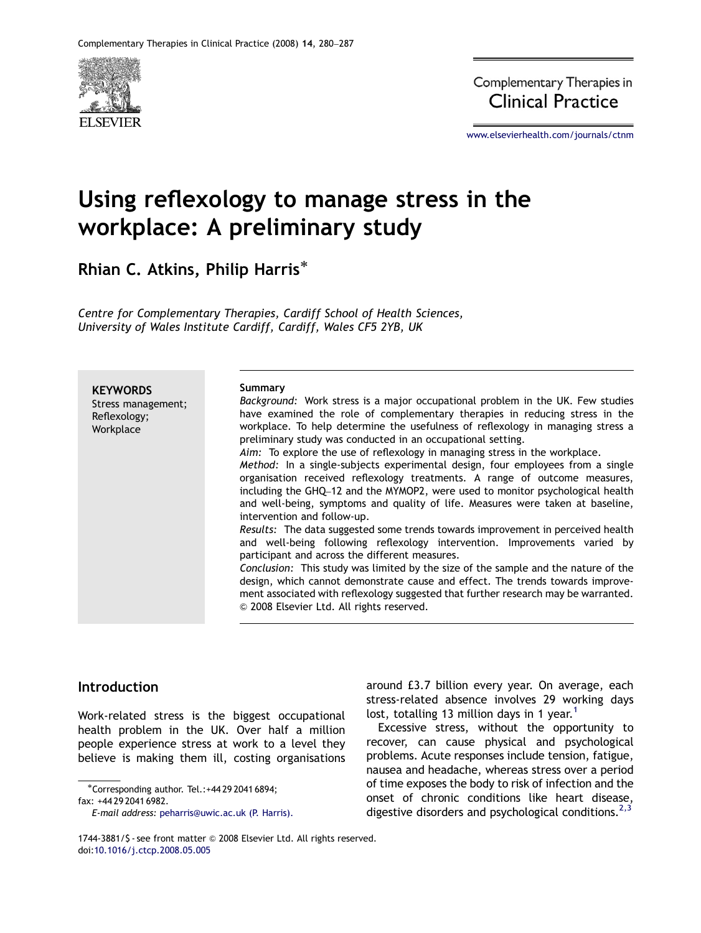

Complementary Therapies in **Clinical Practice** 

<www.elsevierhealth.com/journals/ctnm>

# Using reflexology to manage stress in the workplace: A preliminary study

Rhian C. Atkins, Philip Harris<sup>\*</sup>

Centre for Complementary Therapies, Cardiff School of Health Sciences, University of Wales Institute Cardiff, Cardiff, Wales CF5 2YB, UK

| <b>KEYWORDS</b><br>Stress management;<br>Reflexology;<br>Workplace | Summary<br>Background: Work stress is a major occupational problem in the UK. Few studies<br>have examined the role of complementary therapies in reducing stress in the<br>workplace. To help determine the usefulness of reflexology in managing stress a                                                                                                     |
|--------------------------------------------------------------------|-----------------------------------------------------------------------------------------------------------------------------------------------------------------------------------------------------------------------------------------------------------------------------------------------------------------------------------------------------------------|
|                                                                    | preliminary study was conducted in an occupational setting.<br>Aim: To explore the use of reflexology in managing stress in the workplace.                                                                                                                                                                                                                      |
|                                                                    | Method: In a single-subjects experimental design, four employees from a single<br>organisation received reflexology treatments. A range of outcome measures,<br>including the GHQ-12 and the MYMOP2, were used to monitor psychological health<br>and well-being, symptoms and quality of life. Measures were taken at baseline,<br>intervention and follow-up. |
|                                                                    | Results: The data suggested some trends towards improvement in perceived health<br>and well-being following reflexology intervention. Improvements varied by<br>participant and across the different measures.                                                                                                                                                  |
|                                                                    | Conclusion: This study was limited by the size of the sample and the nature of the<br>design, which cannot demonstrate cause and effect. The trends towards improve-<br>ment associated with reflexology suggested that further research may be warranted.<br>© 2008 Elsevier Ltd. All rights reserved.                                                         |

## Introduction

Work-related stress is the biggest occupational health problem in the UK. Over half a million people experience stress at work to a level they believe is making them ill, costing organisations

fax: +44 29 2041 6982.

around £3.7 billion every year. On average, each stress-related absence involves 29 working days lost, totalling [1](#page-7-0)3 million days in 1 year.<sup>1</sup>

Excessive stress, without the opportunity to recover, can cause physical and psychological problems. Acute responses include tension, fatigue, nausea and headache, whereas stress over a period of time exposes the body to risk of infection and the onset of chronic conditions like heart disease, digestive disorders and psychological conditions.<sup>2,3</sup>

<sup>-</sup>Corresponding author. Tel.:+44 29 2041 6894;

E-mail address: [peharris@uwic.ac.uk \(P. Harris\).](mailto:peharris@uwic.ac.uk)

<sup>1744-3881/\$ -</sup> see front matter @ 2008 Elsevier Ltd. All rights reserved. doi[:10.1016/j.ctcp.2008.05.005](dx.doi.org/10.1016/j.ctcp.2008.05.005)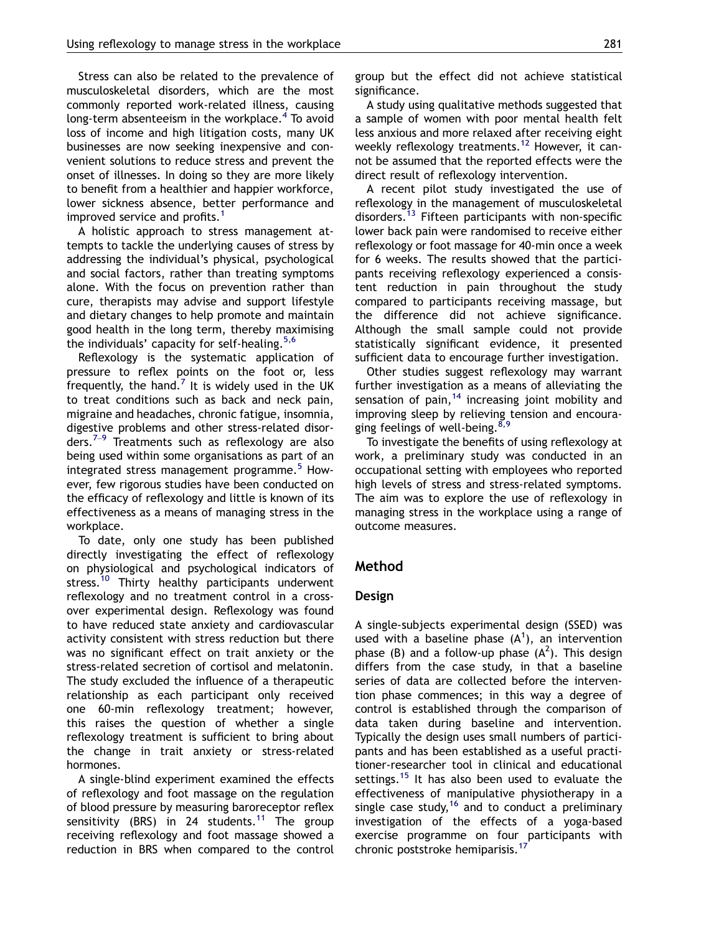Stress can also be related to the prevalence of musculoskeletal disorders, which are the most commonly reported work-related illness, causing long-term absenteeism in the workplace.<sup>[4](#page-7-0)</sup> To avoid loss of income and high litigation costs, many UK businesses are now seeking inexpensive and convenient solutions to reduce stress and prevent the onset of illnesses. In doing so they are more likely to benefit from a healthier and happier workforce, lower sickness absence, better performance and improved service and profits.<sup>[1](#page-7-0)</sup>

A holistic approach to stress management attempts to tackle the underlying causes of stress by addressing the individual's physical, psychological and social factors, rather than treating symptoms alone. With the focus on prevention rather than cure, therapists may advise and support lifestyle and dietary changes to help promote and maintain good health in the long term, thereby maximising the individuals' capacity for self-healing.<sup>[5,6](#page-7-0)</sup>

Reflexology is the systematic application of pressure to reflex points on the foot or, less frequently, the hand.<sup>[7](#page-7-0)</sup> It is widely used in the UK to treat conditions such as back and neck pain, migraine and headaches, chronic fatigue, insomnia, digestive problems and other stress-related disor-ders.<sup>[7](#page-7-0)–9</sup> Treatments such as reflexology are also being used within some organisations as part of an integrated stress management programme.<sup>[5](#page-7-0)</sup> However, few rigorous studies have been conducted on the efficacy of reflexology and little is known of its effectiveness as a means of managing stress in the workplace.

To date, only one study has been published directly investigating the effect of reflexology on physiological and psychological indicators of stress.<sup>[10](#page-7-0)</sup> Thirty healthy participants underwent reflexology and no treatment control in a crossover experimental design. Reflexology was found to have reduced state anxiety and cardiovascular activity consistent with stress reduction but there was no significant effect on trait anxiety or the stress-related secretion of cortisol and melatonin. The study excluded the influence of a therapeutic relationship as each participant only received one 60-min reflexology treatment; however, this raises the question of whether a single reflexology treatment is sufficient to bring about the change in trait anxiety or stress-related hormones.

A single-blind experiment examined the effects of reflexology and foot massage on the regulation of blood pressure by measuring baroreceptor reflex sensitivity (BRS) in 24 students.<sup>[11](#page-7-0)</sup> The group receiving reflexology and foot massage showed a reduction in BRS when compared to the control group but the effect did not achieve statistical significance.

A study using qualitative methods suggested that a sample of women with poor mental health felt less anxious and more relaxed after receiving eight weekly reflexology treatments.<sup>[12](#page-7-0)</sup> However, it cannot be assumed that the reported effects were the direct result of reflexology intervention.

A recent pilot study investigated the use of reflexology in the management of musculoskeletal disorders.<sup>[13](#page-7-0)</sup> Fifteen participants with non-specific lower back pain were randomised to receive either reflexology or foot massage for 40-min once a week for 6 weeks. The results showed that the participants receiving reflexology experienced a consistent reduction in pain throughout the study compared to participants receiving massage, but the difference did not achieve significance. Although the small sample could not provide statistically significant evidence, it presented sufficient data to encourage further investigation.

Other studies suggest reflexology may warrant further investigation as a means of alleviating the sensation of pain,  $14$  increasing joint mobility and improving sleep by relieving tension and encoura-ging feelings of well-being.<sup>[8,9](#page-7-0)</sup>

To investigate the benefits of using reflexology at work, a preliminary study was conducted in an occupational setting with employees who reported high levels of stress and stress-related symptoms. The aim was to explore the use of reflexology in managing stress in the workplace using a range of outcome measures.

## Method

## **Design**

A single-subjects experimental design (SSED) was used with a baseline phase  $(A<sup>1</sup>)$ , an intervention phase (B) and a follow-up phase  $(A<sup>2</sup>)$ . This design differs from the case study, in that a baseline series of data are collected before the intervention phase commences; in this way a degree of control is established through the comparison of data taken during baseline and intervention. Typically the design uses small numbers of participants and has been established as a useful practitioner-researcher tool in clinical and educational settings.<sup>[15](#page-7-0)</sup> It has also been used to evaluate the effectiveness of manipulative physiotherapy in a single case study,  $16$  and to conduct a preliminary investigation of the effects of a yoga-based exercise programme on four participants with chronic poststroke hemiparisis.<sup>[17](#page-7-0)</sup>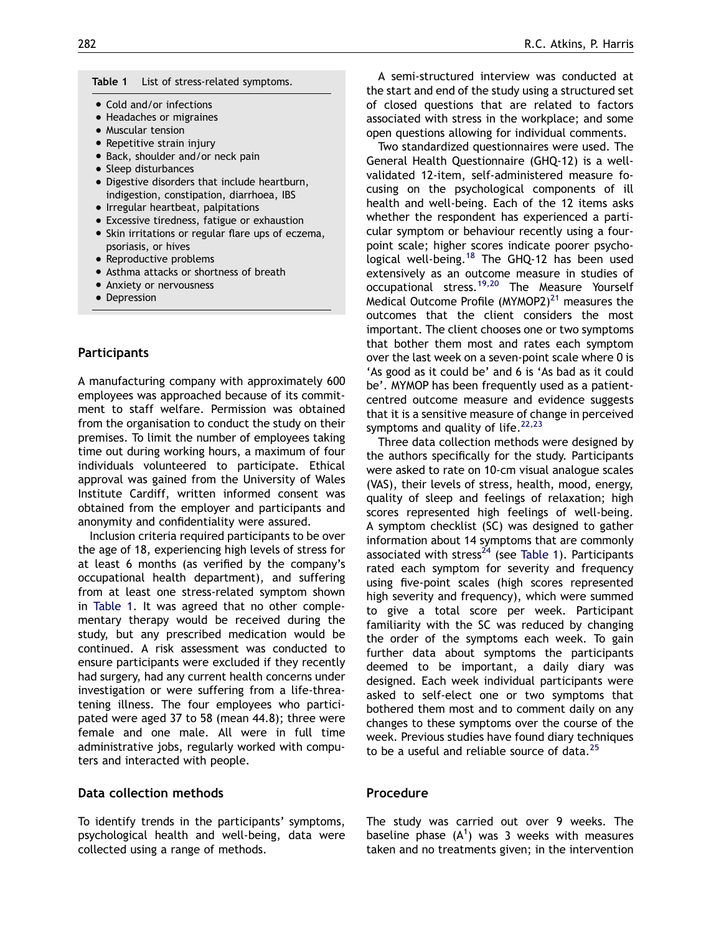#### Table 1 List of stress-related symptoms.

- Cold and/or infections
- Headaches or migraines
- Muscular tension
- Repetitive strain injury
- Back, shoulder and/or neck pain
- Sleep disturbances
- Digestive disorders that include heartburn,
- indigestion, constipation, diarrhoea, IBS
- Irregular heartbeat, palpitations
- Excessive tiredness, fatigue or exhaustion
- · Skin irritations or regular flare ups of eczema, psoriasis, or hives
- Reproductive problems
- Asthma attacks or shortness of breath
- $\bullet$ Anxiety or nervousness
- $\bullet$ Depression

## **Participants**

A manufacturing company with approximately 600 employees was approached because of its commitment to staff welfare. Permission was obtained from the organisation to conduct the study on their premises. To limit the number of employees taking time out during working hours, a maximum of four individuals volunteered to participate. Ethical approval was gained from the University of Wales Institute Cardiff, written informed consent was obtained from the employer and participants and anonymity and confidentiality were assured.

Inclusion criteria required participants to be over the age of 18, experiencing high levels of stress for at least 6 months (as verified by the company's occupational health department), and suffering from at least one stress-related symptom shown in Table 1. It was agreed that no other complementary therapy would be received during the study, but any prescribed medication would be continued. A risk assessment was conducted to ensure participants were excluded if they recently had surgery, had any current health concerns under investigation or were suffering from a life-threatening illness. The four employees who participated were aged 37 to 58 (mean 44.8); three were female and one male. All were in full time administrative jobs, regularly worked with computers and interacted with people.

## Data collection methods

To identify trends in the participants' symptoms, psychological health and well-being, data were collected using a range of methods.

A semi-structured interview was conducted at the start and end of the study using a structured set of closed questions that are related to factors associated with stress in the workplace; and some open questions allowing for individual comments.

Two standardized questionnaires were used. The General Health Questionnaire (GHQ-12) is a wellvalidated 12-item, self-administered measure focusing on the psychological components of ill health and well-being. Each of the 12 items asks whether the respondent has experienced a particular symptom or behaviour recently using a fourpoint scale; higher scores indicate poorer psycho-logical well-being.<sup>[18](#page-7-0)</sup> The GHQ-12 has been used extensively as an outcome measure in studies of occupational stress.[19,20](#page-7-0) The Measure Yourself Medical Outcome Profile  $(MYMOP2)^{21}$  $(MYMOP2)^{21}$  $(MYMOP2)^{21}$  measures the outcomes that the client considers the most important. The client chooses one or two symptoms that bother them most and rates each symptom over the last week on a seven-point scale where 0 is 'As good as it could be' and 6 is 'As bad as it could be'. MYMOP has been frequently used as a patientcentred outcome measure and evidence suggests that it is a sensitive measure of change in perceived symptoms and quality of life. $22,23$ 

Three data collection methods were designed by the authors specifically for the study. Participants were asked to rate on 10-cm visual analogue scales (VAS), their levels of stress, health, mood, energy, quality of sleep and feelings of relaxation; high scores represented high feelings of well-being. A symptom checklist (SC) was designed to gather information about 14 symptoms that are commonly associated with stress<sup>[24](#page-7-0)</sup> (see Table 1). Participants rated each symptom for severity and frequency using five-point scales (high scores represented high severity and frequency), which were summed to give a total score per week. Participant familiarity with the SC was reduced by changing the order of the symptoms each week. To gain further data about symptoms the participants deemed to be important, a daily diary was designed. Each week individual participants were asked to self-elect one or two symptoms that bothered them most and to comment daily on any changes to these symptoms over the course of the week. Previous studies have found diary techniques to be a useful and reliable source of data. $^{25}$  $^{25}$  $^{25}$ 

#### Procedure

The study was carried out over 9 weeks. The baseline phase  $(A<sup>1</sup>)$  was 3 weeks with measures taken and no treatments given; in the intervention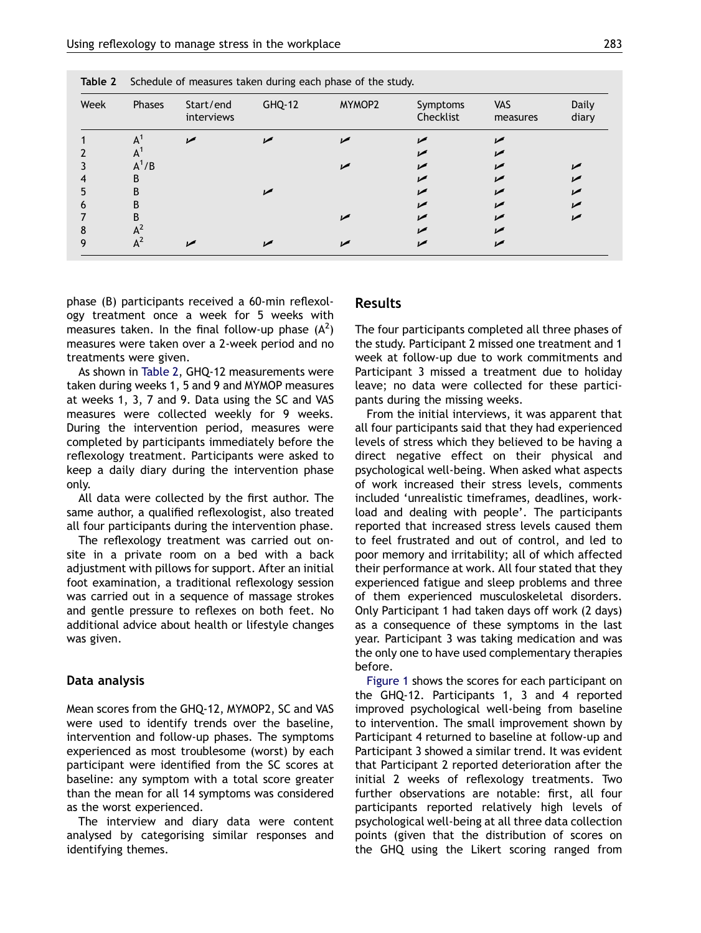| Week | Phases       | Start/end<br>interviews | GHQ-12 | MYMOP2 | Symptoms<br>Checklist | VAS<br>measures | Daily<br>diary |
|------|--------------|-------------------------|--------|--------|-----------------------|-----------------|----------------|
|      |              | مما                     | مما    |        | مما                   | مما             |                |
|      |              |                         |        |        | مما                   | مما             |                |
|      | $A^1/B$      |                         |        |        | مما                   | مما             |                |
|      | <sub>B</sub> |                         |        |        | مما                   | مما             | مما            |
|      | B            |                         | مما    |        | مما                   | مما             | مما            |
| h    | <sub>R</sub> |                         |        |        | مما                   | مما             | مما            |
|      | в            |                         |        |        | مرا                   | مما             | مما            |
|      | $A^2$        |                         |        |        | ممرا                  | مما             |                |
| g    | $A^2$        | مما                     | مما    |        | مما                   | مما             |                |

|  | Table 2 Schedule of measures taken during each phase of the study. |  |  |  |  |  |  |  |
|--|--------------------------------------------------------------------|--|--|--|--|--|--|--|
|--|--------------------------------------------------------------------|--|--|--|--|--|--|--|

phase (B) participants received a 60-min reflexology treatment once a week for 5 weeks with measures taken. In the final follow-up phase  $(A^2)$ measures were taken over a 2-week period and no treatments were given.

As shown in Table 2, GHQ-12 measurements were taken during weeks 1, 5 and 9 and MYMOP measures at weeks 1, 3, 7 and 9. Data using the SC and VAS measures were collected weekly for 9 weeks. During the intervention period, measures were completed by participants immediately before the reflexology treatment. Participants were asked to keep a daily diary during the intervention phase only.

All data were collected by the first author. The same author, a qualified reflexologist, also treated all four participants during the intervention phase.

The reflexology treatment was carried out onsite in a private room on a bed with a back adjustment with pillows for support. After an initial foot examination, a traditional reflexology session was carried out in a sequence of massage strokes and gentle pressure to reflexes on both feet. No additional advice about health or lifestyle changes was given.

#### Data analysis

Mean scores from the GHQ-12, MYMOP2, SC and VAS were used to identify trends over the baseline, intervention and follow-up phases. The symptoms experienced as most troublesome (worst) by each participant were identified from the SC scores at baseline: any symptom with a total score greater than the mean for all 14 symptoms was considered as the worst experienced.

The interview and diary data were content analysed by categorising similar responses and identifying themes.

## Results

The four participants completed all three phases of the study. Participant 2 missed one treatment and 1 week at follow-up due to work commitments and Participant 3 missed a treatment due to holiday leave; no data were collected for these participants during the missing weeks.

From the initial interviews, it was apparent that all four participants said that they had experienced levels of stress which they believed to be having a direct negative effect on their physical and psychological well-being. When asked what aspects of work increased their stress levels, comments included 'unrealistic timeframes, deadlines, workload and dealing with people'. The participants reported that increased stress levels caused them to feel frustrated and out of control, and led to poor memory and irritability; all of which affected their performance at work. All four stated that they experienced fatigue and sleep problems and three of them experienced musculoskeletal disorders. Only Participant 1 had taken days off work (2 days) as a consequence of these symptoms in the last year. Participant 3 was taking medication and was the only one to have used complementary therapies before.

[Figure 1](#page-4-0) shows the scores for each participant on the GHQ-12. Participants 1, 3 and 4 reported improved psychological well-being from baseline to intervention. The small improvement shown by Participant 4 returned to baseline at follow-up and Participant 3 showed a similar trend. It was evident that Participant 2 reported deterioration after the initial 2 weeks of reflexology treatments. Two further observations are notable: first, all four participants reported relatively high levels of psychological well-being at all three data collection points (given that the distribution of scores on the GHQ using the Likert scoring ranged from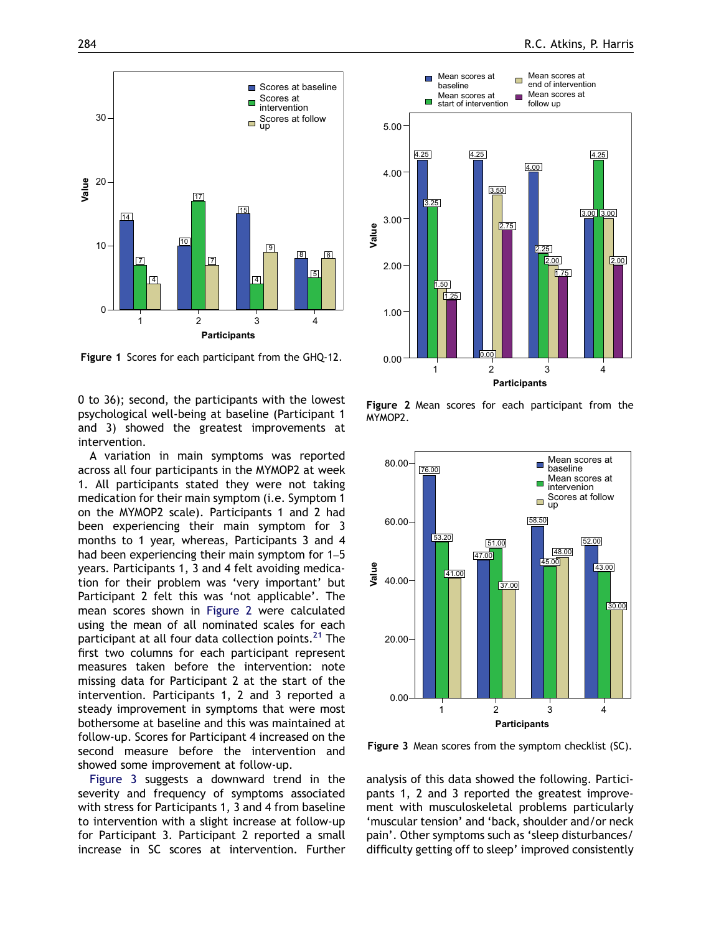<span id="page-4-0"></span>

Figure 1 Scores for each participant from the GHQ-12.

0 to 36); second, the participants with the lowest psychological well-being at baseline (Participant 1 and 3) showed the greatest improvements at intervention.

A variation in main symptoms was reported across all four participants in the MYMOP2 at week 1. All participants stated they were not taking medication for their main symptom (i.e. Symptom 1 on the MYMOP2 scale). Participants 1 and 2 had been experiencing their main symptom for 3 months to 1 year, whereas, Participants 3 and 4 had been experiencing their main symptom for 1–5 years. Participants 1, 3 and 4 felt avoiding medication for their problem was 'very important' but Participant 2 felt this was 'not applicable'. The mean scores shown in Figure 2 were calculated using the mean of all nominated scales for each participant at all four data collection points.<sup>[21](#page-7-0)</sup> The first two columns for each participant represent measures taken before the intervention: note missing data for Participant 2 at the start of the intervention. Participants 1, 2 and 3 reported a steady improvement in symptoms that were most bothersome at baseline and this was maintained at follow-up. Scores for Participant 4 increased on the second measure before the intervention and showed some improvement at follow-up.

Figure 3 suggests a downward trend in the severity and frequency of symptoms associated with stress for Participants 1, 3 and 4 from baseline to intervention with a slight increase at follow-up for Participant 3. Participant 2 reported a small increase in SC scores at intervention. Further



Figure 2 Mean scores for each participant from the MYMOP2.



Figure 3 Mean scores from the symptom checklist (SC).

analysis of this data showed the following. Participants 1, 2 and 3 reported the greatest improvement with musculoskeletal problems particularly 'muscular tension' and 'back, shoulder and/or neck pain'. Other symptoms such as 'sleep disturbances/ difficulty getting off to sleep' improved consistently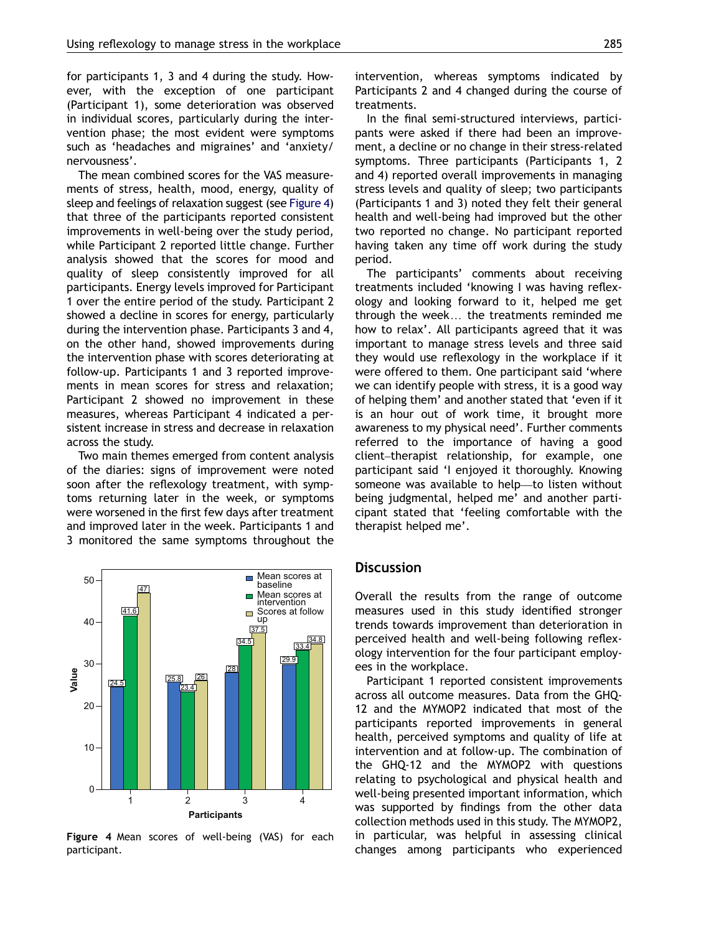for participants 1, 3 and 4 during the study. However, with the exception of one participant (Participant 1), some deterioration was observed in individual scores, particularly during the intervention phase; the most evident were symptoms such as 'headaches and migraines' and 'anxiety/ nervousness'.

The mean combined scores for the VAS measurements of stress, health, mood, energy, quality of sleep and feelings of relaxation suggest (see Figure 4) that three of the participants reported consistent improvements in well-being over the study period, while Participant 2 reported little change. Further analysis showed that the scores for mood and quality of sleep consistently improved for all participants. Energy levels improved for Participant 1 over the entire period of the study. Participant 2 showed a decline in scores for energy, particularly during the intervention phase. Participants 3 and 4, on the other hand, showed improvements during the intervention phase with scores deteriorating at follow-up. Participants 1 and 3 reported improvements in mean scores for stress and relaxation; Participant 2 showed no improvement in these measures, whereas Participant 4 indicated a persistent increase in stress and decrease in relaxation across the study.

Two main themes emerged from content analysis of the diaries: signs of improvement were noted soon after the reflexology treatment, with symptoms returning later in the week, or symptoms were worsened in the first few days after treatment and improved later in the week. Participants 1 and 3 monitored the same symptoms throughout the



Figure 4 Mean scores of well-being (VAS) for each participant.

intervention, whereas symptoms indicated by Participants 2 and 4 changed during the course of treatments.

In the final semi-structured interviews, participants were asked if there had been an improvement, a decline or no change in their stress-related symptoms. Three participants (Participants 1, 2 and 4) reported overall improvements in managing stress levels and quality of sleep; two participants (Participants 1 and 3) noted they felt their general health and well-being had improved but the other two reported no change. No participant reported having taken any time off work during the study period.

The participants' comments about receiving treatments included 'knowing I was having reflexology and looking forward to it, helped me get through the week... the treatments reminded me how to relax'. All participants agreed that it was important to manage stress levels and three said they would use reflexology in the workplace if it were offered to them. One participant said 'where we can identify people with stress, it is a good way of helping them' and another stated that 'even if it is an hour out of work time, it brought more awareness to my physical need'. Further comments referred to the importance of having a good client–therapist relationship, for example, one participant said 'I enjoyed it thoroughly. Knowing someone was available to help—to listen without being judgmental, helped me' and another participant stated that 'feeling comfortable with the therapist helped me'.

## **Discussion**

Overall the results from the range of outcome measures used in this study identified stronger trends towards improvement than deterioration in perceived health and well-being following reflexology intervention for the four participant employees in the workplace.

Participant 1 reported consistent improvements across all outcome measures. Data from the GHQ-12 and the MYMOP2 indicated that most of the participants reported improvements in general health, perceived symptoms and quality of life at intervention and at follow-up. The combination of the GHQ-12 and the MYMOP2 with questions relating to psychological and physical health and well-being presented important information, which was supported by findings from the other data collection methods used in this study. The MYMOP2, in particular, was helpful in assessing clinical changes among participants who experienced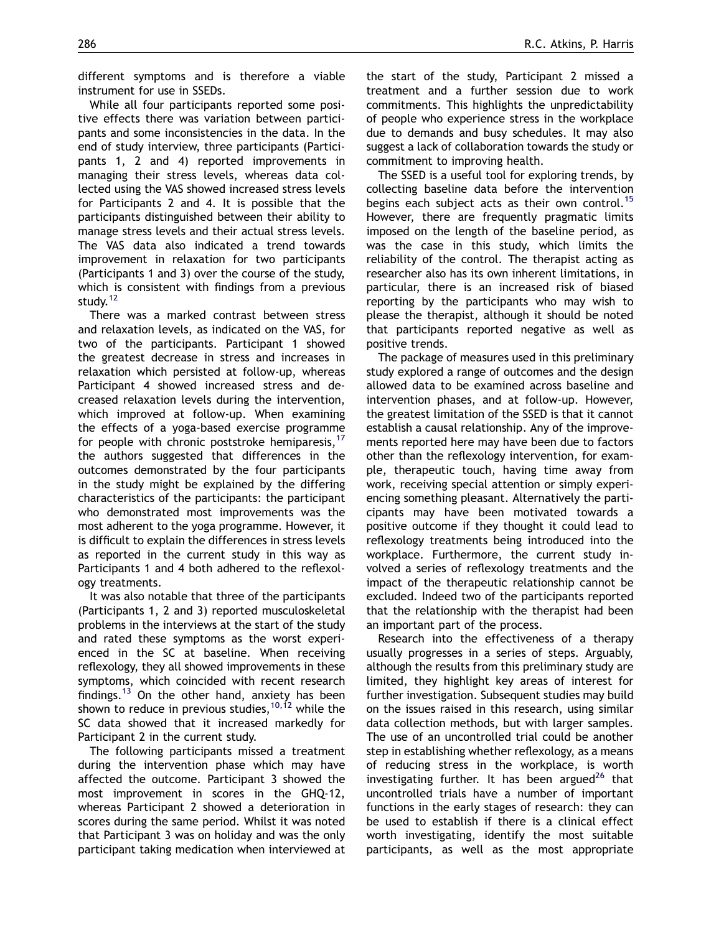different symptoms and is therefore a viable instrument for use in SSEDs.

While all four participants reported some positive effects there was variation between participants and some inconsistencies in the data. In the end of study interview, three participants (Participants 1, 2 and 4) reported improvements in managing their stress levels, whereas data collected using the VAS showed increased stress levels for Participants 2 and 4. It is possible that the participants distinguished between their ability to manage stress levels and their actual stress levels. The VAS data also indicated a trend towards improvement in relaxation for two participants (Participants 1 and 3) over the course of the study, which is consistent with findings from a previous study.<sup>[12](#page-7-0)</sup>

There was a marked contrast between stress and relaxation levels, as indicated on the VAS, for two of the participants. Participant 1 showed the greatest decrease in stress and increases in relaxation which persisted at follow-up, whereas Participant 4 showed increased stress and decreased relaxation levels during the intervention, which improved at follow-up. When examining the effects of a yoga-based exercise programme for people with chronic poststroke hemiparesis,  $17$ the authors suggested that differences in the outcomes demonstrated by the four participants in the study might be explained by the differing characteristics of the participants: the participant who demonstrated most improvements was the most adherent to the yoga programme. However, it is difficult to explain the differences in stress levels as reported in the current study in this way as Participants 1 and 4 both adhered to the reflexology treatments.

It was also notable that three of the participants (Participants 1, 2 and 3) reported musculoskeletal problems in the interviews at the start of the study and rated these symptoms as the worst experienced in the SC at baseline. When receiving reflexology, they all showed improvements in these symptoms, which coincided with recent research findings.<sup>[13](#page-7-0)</sup> On the other hand, anxiety has been shown to reduce in previous studies,  $10,12$  while the SC data showed that it increased markedly for Participant 2 in the current study.

The following participants missed a treatment during the intervention phase which may have affected the outcome. Participant 3 showed the most improvement in scores in the GHQ-12, whereas Participant 2 showed a deterioration in scores during the same period. Whilst it was noted that Participant 3 was on holiday and was the only participant taking medication when interviewed at the start of the study, Participant 2 missed a treatment and a further session due to work commitments. This highlights the unpredictability of people who experience stress in the workplace due to demands and busy schedules. It may also suggest a lack of collaboration towards the study or commitment to improving health.

The SSED is a useful tool for exploring trends, by collecting baseline data before the intervention begins each subject acts as their own control.<sup>[15](#page-7-0)</sup> However, there are frequently pragmatic limits imposed on the length of the baseline period, as was the case in this study, which limits the reliability of the control. The therapist acting as researcher also has its own inherent limitations, in particular, there is an increased risk of biased reporting by the participants who may wish to please the therapist, although it should be noted that participants reported negative as well as positive trends.

The package of measures used in this preliminary study explored a range of outcomes and the design allowed data to be examined across baseline and intervention phases, and at follow-up. However, the greatest limitation of the SSED is that it cannot establish a causal relationship. Any of the improvements reported here may have been due to factors other than the reflexology intervention, for example, therapeutic touch, having time away from work, receiving special attention or simply experiencing something pleasant. Alternatively the participants may have been motivated towards a positive outcome if they thought it could lead to reflexology treatments being introduced into the workplace. Furthermore, the current study involved a series of reflexology treatments and the impact of the therapeutic relationship cannot be excluded. Indeed two of the participants reported that the relationship with the therapist had been an important part of the process.

Research into the effectiveness of a therapy usually progresses in a series of steps. Arguably, although the results from this preliminary study are limited, they highlight key areas of interest for further investigation. Subsequent studies may build on the issues raised in this research, using similar data collection methods, but with larger samples. The use of an uncontrolled trial could be another step in establishing whether reflexology, as a means of reducing stress in the workplace, is worth investigating further. It has been argued<sup>[26](#page-7-0)</sup> that uncontrolled trials have a number of important functions in the early stages of research: they can be used to establish if there is a clinical effect worth investigating, identify the most suitable participants, as well as the most appropriate